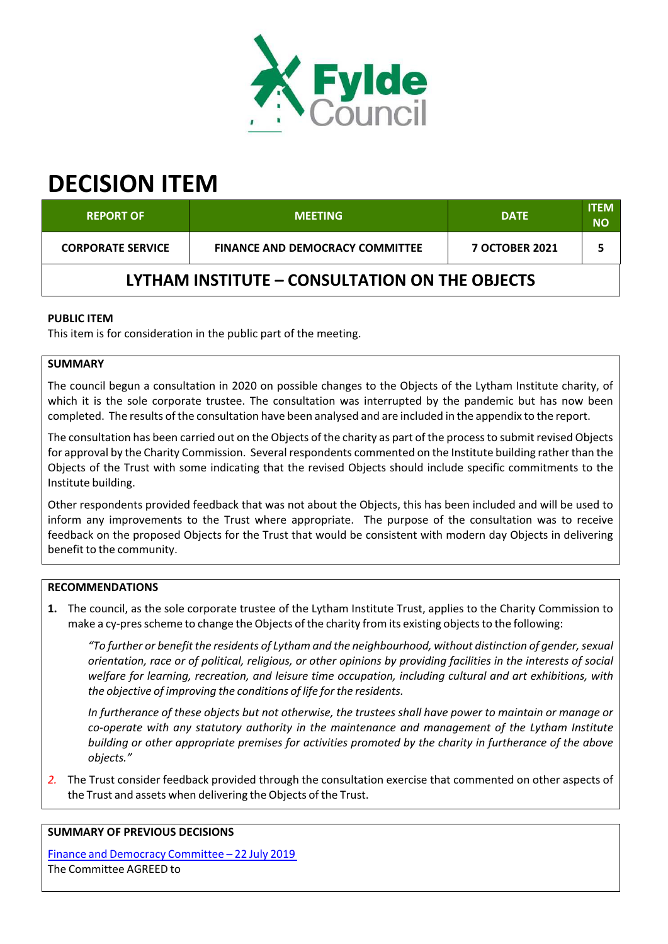

# **DECISION ITEM**

| <b>REPORT OF</b>                               | <b>MEETING</b>                         | <b>DATE</b>           | <b>ITEM</b><br><b>NO</b> |  |  |
|------------------------------------------------|----------------------------------------|-----------------------|--------------------------|--|--|
| <b>CORPORATE SERVICE</b>                       | <b>FINANCE AND DEMOCRACY COMMITTEE</b> | <b>7 OCTOBER 2021</b> |                          |  |  |
| LYTHAM INSTITUTE – CONSULTATION ON THE OBJECTS |                                        |                       |                          |  |  |

# **PUBLIC ITEM**

This item is for consideration in the public part of the meeting.

# **SUMMARY**

The council begun a consultation in 2020 on possible changes to the Objects of the Lytham Institute charity, of which it is the sole corporate trustee. The consultation was interrupted by the pandemic but has now been completed. The results of the consultation have been analysed and are included in the appendix to the report.

The consultation has been carried out on the Objects of the charity as part of the processto submit revised Objects for approval by the Charity Commission. Several respondents commented on the Institute building ratherthan the Objects of the Trust with some indicating that the revised Objects should include specific commitments to the Institute building.

Other respondents provided feedback that was not about the Objects, this has been included and will be used to inform any improvements to the Trust where appropriate. The purpose of the consultation was to receive feedback on the proposed Objects for the Trust that would be consistent with modern day Objects in delivering benefit to the community.

## **RECOMMENDATIONS**

**1.** The council, as the sole corporate trustee of the Lytham Institute Trust, applies to the Charity Commission to make a cy-pres scheme to change the Objects of the charity from its existing objects to the following:

*"To further or benefit the residents of Lytham and the neighbourhood, without distinction of gender,sexual* orientation, race or of political, religious, or other opinions by providing facilities in the interests of social *welfare for learning, recreation, and leisure time occupation, including cultural and art exhibitions, with the objective of improving the conditions of life for the residents.*

In furtherance of these objects but not otherwise, the trustees shall have power to maintain or manage or *co‐operate with any statutory authority in the maintenance and management of the Lytham Institute building or other appropriate premises for activities promoted by the charity in furtherance of the above objects."*

*2.* The Trust consider feedback provided through the consultation exercise that commented on other aspects of the Trust and assets when delivering the Objects of the Trust.

#### **SUMMARY OF PREVIOUS DECISIONS**

Finance and Democracy Committee – 22 July 2019 The Committee AGREED to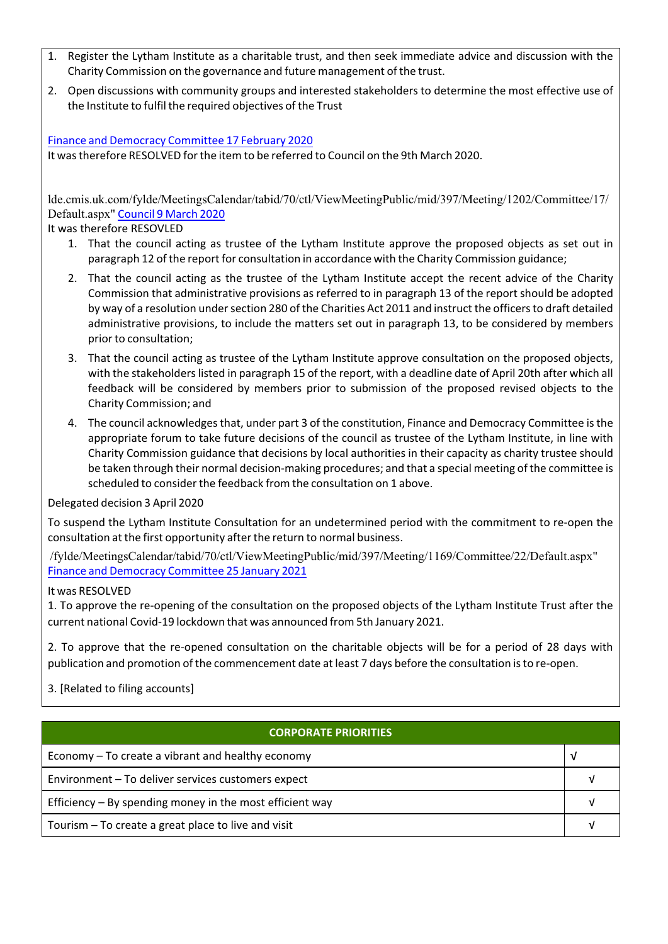- 1. Register the Lytham Institute as a charitable trust, and then seek immediate advice and discussion with the Charity Commission on the governance and future management of the trust.
- 2. Open discussions with community groups and interested stakeholders to determine the most effective use of the Institute to fulfil the required objectives of the Trust

Finance and Democracy Committee 17 February 2020

It wastherefore RESOLVED forthe item to be referred to Council on the 9th March 2020.

lde.cmis.uk.com/fylde/MeetingsCalendar/tabid/70/ctl/ViewMeetingPublic/mid/397/Meeting/1202/Committee/17/ Default.aspx" Council 9 March 2020

It was therefore RESOVLED

- 1. That the council acting as trustee of the Lytham Institute approve the proposed objects as set out in paragraph 12 of the report for consultation in accordance with the Charity Commission guidance;
- 2. That the council acting as the trustee of the Lytham Institute accept the recent advice of the Charity Commission that administrative provisions as referred to in paragraph 13 of the reportshould be adopted by way of a resolution under section 280 of the Charities Act 2011 and instruct the officers to draft detailed administrative provisions, to include the matters set out in paragraph 13, to be considered by members prior to consultation;
- 3. That the council acting as trustee of the Lytham Institute approve consultation on the proposed objects, with the stakeholders listed in paragraph 15 of the report, with a deadline date of April 20th after which all feedback will be considered by members prior to submission of the proposed revised objects to the Charity Commission; and
- 4. The council acknowledgesthat, under part 3 of the constitution, Finance and Democracy Committee isthe appropriate forum to take future decisions of the council as trustee of the Lytham Institute, in line with Charity Commission guidance that decisions by local authorities in their capacity as charity trustee should be taken through their normal decision‐making procedures; and that a special meeting of the committee is scheduled to consider the feedback from the consultation on 1 above.

Delegated decision 3 April 2020

To suspend the Lytham Institute Consultation for an undetermined period with the commitment to re‐open the consultation at the first opportunity after the return to normal business.

/fylde/MeetingsCalendar/tabid/70/ctl/ViewMeetingPublic/mid/397/Meeting/1169/Committee/22/Default.aspx" Finance and Democracy Committee 25 January 2021

#### It was RESOLVED

1. To approve the re‐opening of the consultation on the proposed objects of the Lytham Institute Trust after the current national Covid‐19 lockdown that was announced from 5th January 2021.

2. To approve that the re‐opened consultation on the charitable objects will be for a period of 28 days with publication and promotion of the commencement date at least 7 days before the consultation isto re‐open.

# 3. [Related to filing accounts]

| <b>CORPORATE PRIORITIES</b>                                |  |  |  |
|------------------------------------------------------------|--|--|--|
| Economy – To create a vibrant and healthy economy          |  |  |  |
| Environment - To deliver services customers expect         |  |  |  |
| Efficiency $-$ By spending money in the most efficient way |  |  |  |
| Tourism – To create a great place to live and visit        |  |  |  |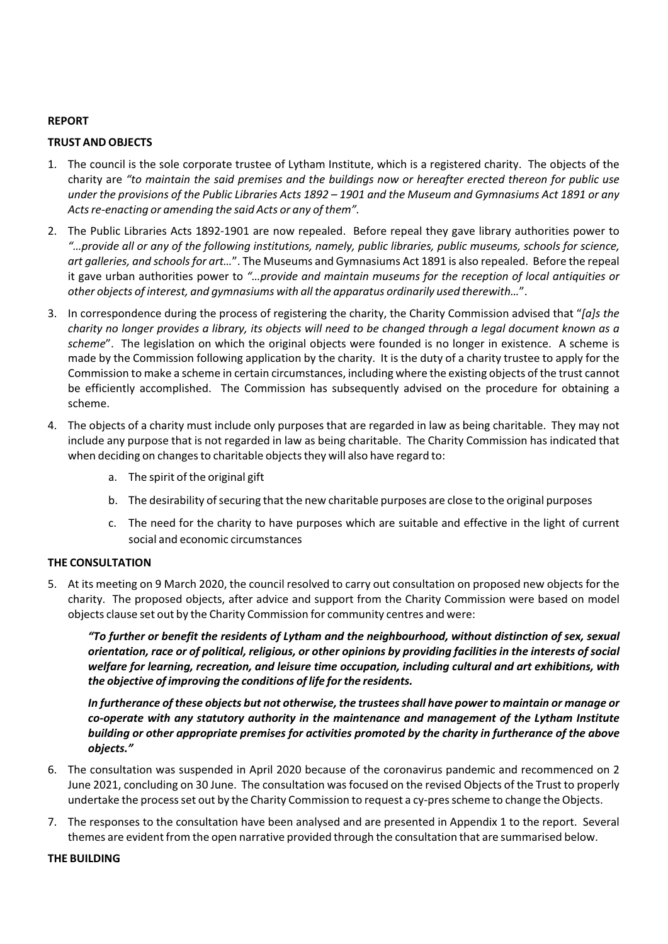#### **REPORT**

#### **TRUST AND OBJECTS**

- 1. The council is the sole corporate trustee of Lytham Institute, which is a registered charity. The objects of the charity are *"to maintain the said premises and the buildings now or hereafter erected thereon for public use* under the provisions of the Public Libraries Acts 1892 – 1901 and the Museum and Gymnasiums Act 1891 or any *Actsre‐enacting or amending the said Acts or any of them".*
- 2. The Public Libraries Acts 1892‐1901 are now repealed. Before repeal they gave library authorities power to "...provide all or any of the following institutions, namely, public libraries, public museums, schools for science, *art galleries, and schoolsfor art…*". The Museums and Gymnasiums Act 1891 is also repealed. Before the repeal it gave urban authorities power to *"…provide and maintain museums for the reception of local antiquities or other objects of interest, and gymnasiums with all the apparatus ordinarily used therewith…*".
- 3. In correspondence during the process of registering the charity, the Charity Commission advised that "*[a]s the* charity no longer provides a library, its objects will need to be changed through a legal document known as a *scheme*". The legislation on which the original objects were founded is no longer in existence. A scheme is made by the Commission following application by the charity. It is the duty of a charity trustee to apply for the Commission to make a scheme in certain circumstances, including where the existing objects of the trust cannot be efficiently accomplished. The Commission has subsequently advised on the procedure for obtaining a scheme.
- 4. The objects of a charity must include only purposes that are regarded in law as being charitable. They may not include any purpose that is not regarded in law as being charitable. The Charity Commission has indicated that when deciding on changes to charitable objects they will also have regard to:
	- a. The spirit of the original gift
	- b. The desirability of securing that the new charitable purposes are close to the original purposes
	- c. The need for the charity to have purposes which are suitable and effective in the light of current social and economic circumstances

#### **THE CONSULTATION**

5. At its meeting on 9 March 2020, the council resolved to carry out consultation on proposed new objects for the charity. The proposed objects, after advice and support from the Charity Commission were based on model objects clause set out by the Charity Commission for community centres and were:

*"To further or benefit the residents of Lytham and the neighbourhood, without distinction of sex, sexual* orientation, race or of political, religious, or other opinions by providing facilities in the interests of social *welfare for learning, recreation, and leisure time occupation, including cultural and art exhibitions, with the objective of improving the conditions of life forthe residents.*

*In furtherance of these objects but not otherwise, the trusteesshall have power to maintain or manage or co‐operate with any statutory authority in the maintenance and management of the Lytham Institute building or other appropriate premises for activities promoted by the charity in furtherance of the above objects."*

- 6. The consultation was suspended in April 2020 because of the coronavirus pandemic and recommenced on 2 June 2021, concluding on 30 June. The consultation wasfocused on the revised Objects of the Trust to properly undertake the process set out by the Charity Commission to request a cy-pres scheme to change the Objects.
- 7. The responses to the consultation have been analysed and are presented in Appendix 1 to the report. Several themes are evident from the open narrative provided through the consultation that are summarised below.

#### **THE BUILDING**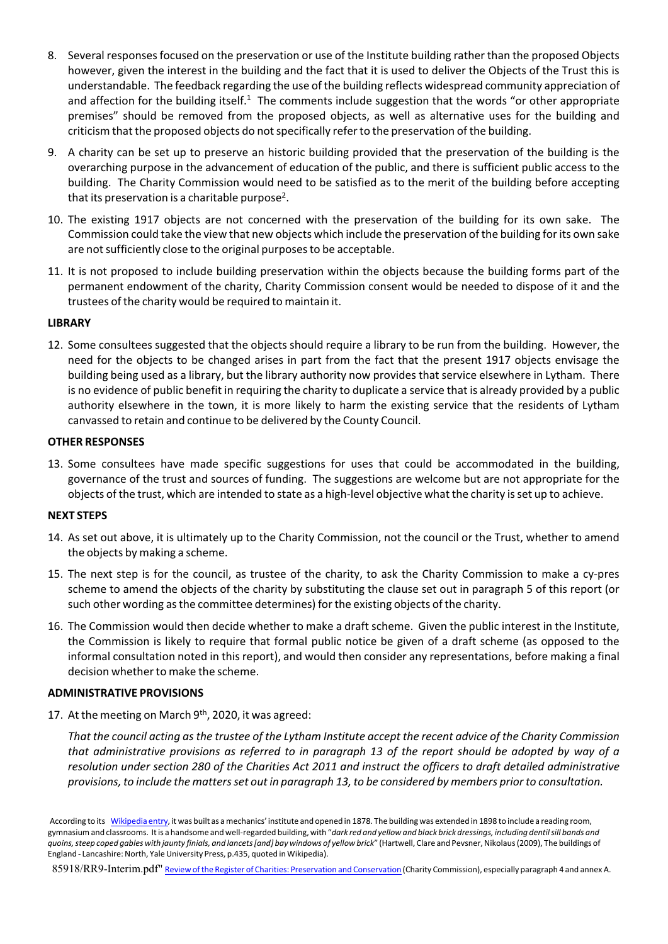- 8. Several responsesfocused on the preservation or use of the Institute building rather than the proposed Objects however, given the interest in the building and the fact that it is used to deliver the Objects of the Trust this is understandable. The feedback regarding the use of the building reflects widespread community appreciation of and affection for the building itself.<sup>1</sup> The comments include suggestion that the words "or other appropriate premises" should be removed from the proposed objects, as well as alternative uses for the building and criticism that the proposed objects do not specifically refer to the preservation of the building.
- 9. A charity can be set up to preserve an historic building provided that the preservation of the building is the overarching purpose in the advancement of education of the public, and there is sufficient public access to the building. The Charity Commission would need to be satisfied as to the merit of the building before accepting that its preservation is a charitable purpose<sup>2</sup>.
- 10. The existing 1917 objects are not concerned with the preservation of the building for its own sake. The Commission could take the view that new objects which include the preservation of the building forits own sake are not sufficiently close to the original purposes to be acceptable.
- 11. It is not proposed to include building preservation within the objects because the building forms part of the permanent endowment of the charity, Charity Commission consent would be needed to dispose of it and the trustees of the charity would be required to maintain it.

## **LIBRARY**

12. Some consultees suggested that the objects should require a library to be run from the building. However, the need for the objects to be changed arises in part from the fact that the present 1917 objects envisage the building being used as a library, but the library authority now provides that service elsewhere in Lytham. There is no evidence of public benefit in requiring the charity to duplicate a service that is already provided by a public authority elsewhere in the town, it is more likely to harm the existing service that the residents of Lytham canvassed to retain and continue to be delivered by the County Council.

#### **OTHER RESPONSES**

13. Some consultees have made specific suggestions for uses that could be accommodated in the building, governance of the trust and sources of funding. The suggestions are welcome but are not appropriate for the objects of the trust, which are intended to state as a high‐level objective what the charity isset up to achieve.

### **NEXT STEPS**

- 14. As set out above, it is ultimately up to the Charity Commission, not the council or the Trust, whether to amend the objects by making a scheme.
- 15. The next step is for the council, as trustee of the charity, to ask the Charity Commission to make a cy‐pres scheme to amend the objects of the charity by substituting the clause set out in paragraph 5 of this report (or such other wording as the committee determines) for the existing objects of the charity.
- 16. The Commission would then decide whether to make a draft scheme. Given the public interest in the Institute, the Commission is likely to require that formal public notice be given of a draft scheme (as opposed to the informal consultation noted in this report), and would then consider any representations, before making a final decision whether to make the scheme.

#### **ADMINISTRATIVE PROVISIONS**

17. At the meeting on March 9<sup>th</sup>, 2020, it was agreed:

That the council acting as the trustee of the Lytham Institute accept the recent advice of the Charity Commission that administrative provisions as referred to in paragraph 13 of the report should be adopted by way of a resolution under section 280 of the Charities Act 2011 and instruct the officers to draft detailed administrative provisions, to include the matters set out in paragraph 13, to be considered by members prior to consultation.

85918/RR9-Interim.pdf" Review of the Register of Charities: Preservation and Conservation (Charity Commission), especially paragraph 4 and annex A.

According to its Wikipedia entry, it was built as a mechanics' institute and opened in 1878. The building was extended in 1898 to include a reading room, gymnasium and classrooms. It is a handsome and well-regarded building, with "dark red and yellow and black brick dressings, including dentil sill bands and quoins, steep coped gables with jaunty finials, and lancets [and] bay windows of yellow brick" (Hartwell, Clare and Pevsner, Nikolaus (2009), The buildings of England - Lancashire: North, Yale University Press, p.435, quoted in Wikipedia).